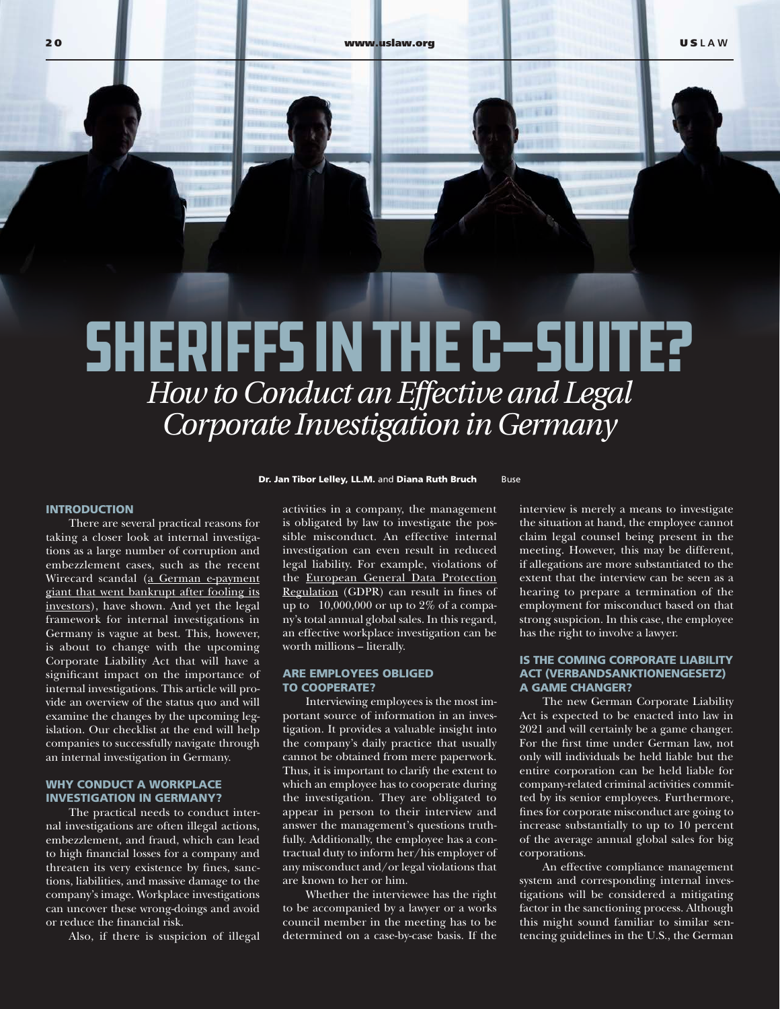# Sheriffs in the C-Suite? *How to Conduct an Effective and Legal Corporate Investigation in Germany*

#### INTRODUCTION

There are several practical reasons for taking a closer look at internal investigations as a large number of corruption and embezzlement cases, such as the recent Wirecard scandal ([a German e-payment](https://www.wsj.com/articles/wirecard-bankruptcy-scandal-missing-$2billion-11593703379)  [giant that went bankrupt after fooling its](https://www.wsj.com/articles/wirecard-bankruptcy-scandal-missing-$2billion-11593703379) [investors\)](https://www.wsj.com/articles/wirecard-bankruptcy-scandal-missing-$2billion-11593703379), have shown. And yet the legal framework for internal investigations in Germany is vague at best. This, however, is about to change with the upcoming Corporate Liability Act that will have a significant impact on the importance of internal investigations. This article will provide an overview of the status quo and will examine the changes by the upcoming legislation. Our checklist at the end will help companies to successfully navigate through an internal investigation in Germany.

# WHY CONDUCT A WORKPLACE INVESTIGATION IN GERMANY?

The practical needs to conduct internal investigations are often illegal actions, embezzlement, and fraud, which can lead to high financial losses for a company and threaten its very existence by fines, sanctions, liabilities, and massive damage to the company's image. Workplace investigations can uncover these wrong-doings and avoid or reduce the financial risk.

Also, if there is suspicion of illegal

**Dr. Jan Tibor Lelley, LL.M. and Diana Ruth Bruch Buse** 

activities in a company, the management is obligated by law to investigate the possible misconduct. An effective internal investigation can even result in reduced legal liability. For example, violations of the [European General Data Protection](https://gdpr-info.eu/) [Regulation](https://gdpr-info.eu/) (GDPR) can result in fines of up to  $\text{E}10,000,000$  or up to 2% of a company's total annual global sales. In this regard, an effective workplace investigation can be worth millions – literally.

#### ARE EMPLOYEES OBLIGED TO COOPERATE?

Interviewing employees is the most important source of information in an investigation. It provides a valuable insight into the company's daily practice that usually cannot be obtained from mere paperwork. Thus, it is important to clarify the extent to which an employee has to cooperate during the investigation. They are obligated to appear in person to their interview and answer the management's questions truthfully. Additionally, the employee has a contractual duty to inform her/his employer of any misconduct and/or legal violations that are known to her or him.

Whether the interviewee has the right to be accompanied by a lawyer or a works council member in the meeting has to be determined on a case-by-case basis. If the

interview is merely a means to investigate the situation at hand, the employee cannot claim legal counsel being present in the meeting. However, this may be different, if allegations are more substantiated to the extent that the interview can be seen as a hearing to prepare a termination of the employment for misconduct based on that strong suspicion. In this case, the employee has the right to involve a lawyer.

## IS THE COMING CORPORATE LIABILITY ACT (VERBANDSANKTIONENGESETZ) A GAME CHANGER?

The new German Corporate Liability Act is expected to be enacted into law in 2021 and will certainly be a game changer. For the first time under German law, not only will individuals be held liable but the entire corporation can be held liable for company-related criminal activities committed by its senior employees. Furthermore, fines for corporate misconduct are going to increase substantially to up to 10 percent of the average annual global sales for big corporations.

An effective compliance management system and corresponding internal investigations will be considered a mitigating factor in the sanctioning process. Although this might sound familiar to similar sentencing guidelines in the U.S., the German